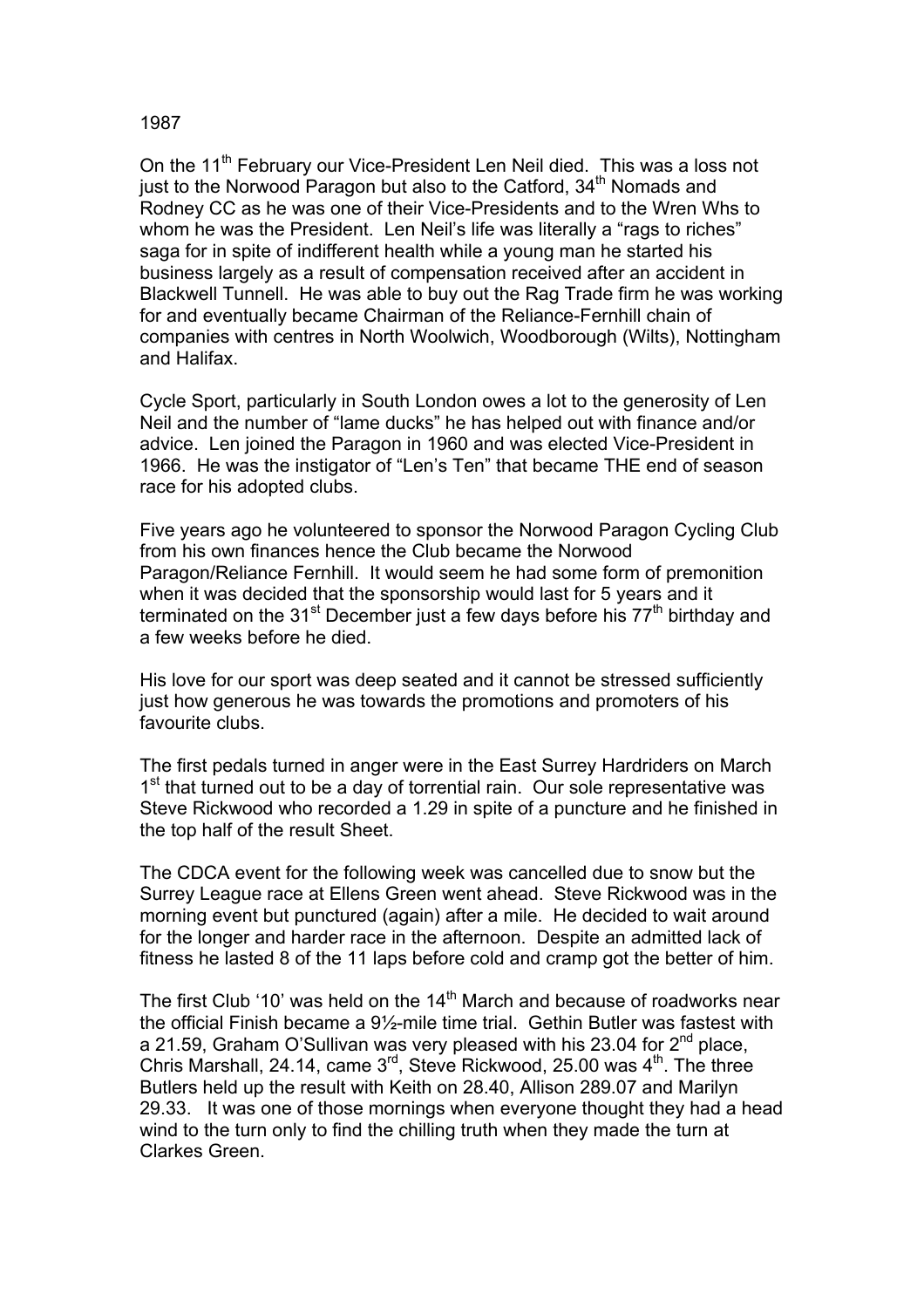## 1987

On the 11<sup>th</sup> February our Vice-President Len Neil died. This was a loss not just to the Norwood Paragon but also to the Catford, 34<sup>th</sup> Nomads and Rodney CC as he was one of their Vice-Presidents and to the Wren Whs to whom he was the President. Len Neil's life was literally a "rags to riches" saga for in spite of indifferent health while a young man he started his business largely as a result of compensation received after an accident in Blackwell Tunnell. He was able to buy out the Rag Trade firm he was working for and eventually became Chairman of the Reliance-Fernhill chain of companies with centres in North Woolwich, Woodborough (Wilts), Nottingham and Halifax.

Cycle Sport, particularly in South London owes a lot to the generosity of Len Neil and the number of "lame ducks" he has helped out with finance and/or advice. Len joined the Paragon in 1960 and was elected Vice-President in 1966. He was the instigator of "Len's Ten" that became THE end of season race for his adopted clubs.

Five years ago he volunteered to sponsor the Norwood Paragon Cycling Club from his own finances hence the Club became the Norwood Paragon/Reliance Fernhill. It would seem he had some form of premonition when it was decided that the sponsorship would last for 5 years and it terminated on the 31<sup>st</sup> December just a few days before his  $77<sup>th</sup>$  birthday and a few weeks before he died.

His love for our sport was deep seated and it cannot be stressed sufficiently just how generous he was towards the promotions and promoters of his favourite clubs.

The first pedals turned in anger were in the East Surrey Hardriders on March  $1<sup>st</sup>$  that turned out to be a day of torrential rain. Our sole representative was Steve Rickwood who recorded a 1.29 in spite of a puncture and he finished in the top half of the result Sheet.

The CDCA event for the following week was cancelled due to snow but the Surrey League race at Ellens Green went ahead. Steve Rickwood was in the morning event but punctured (again) after a mile. He decided to wait around for the longer and harder race in the afternoon. Despite an admitted lack of fitness he lasted 8 of the 11 laps before cold and cramp got the better of him.

The first Club '10' was held on the  $14<sup>th</sup>$  March and because of roadworks near the official Finish became a 9½-mile time trial. Gethin Butler was fastest with a 21.59, Graham O'Sullivan was very pleased with his 23.04 for  $2^{nd}$  place, Chris Marshall, 24.14, came  $3<sup>rd</sup>$ , Steve Rickwood, 25.00 was  $4<sup>th</sup>$ . The three Butlers held up the result with Keith on 28.40, Allison 289.07 and Marilyn 29.33. It was one of those mornings when everyone thought they had a head wind to the turn only to find the chilling truth when they made the turn at Clarkes Green.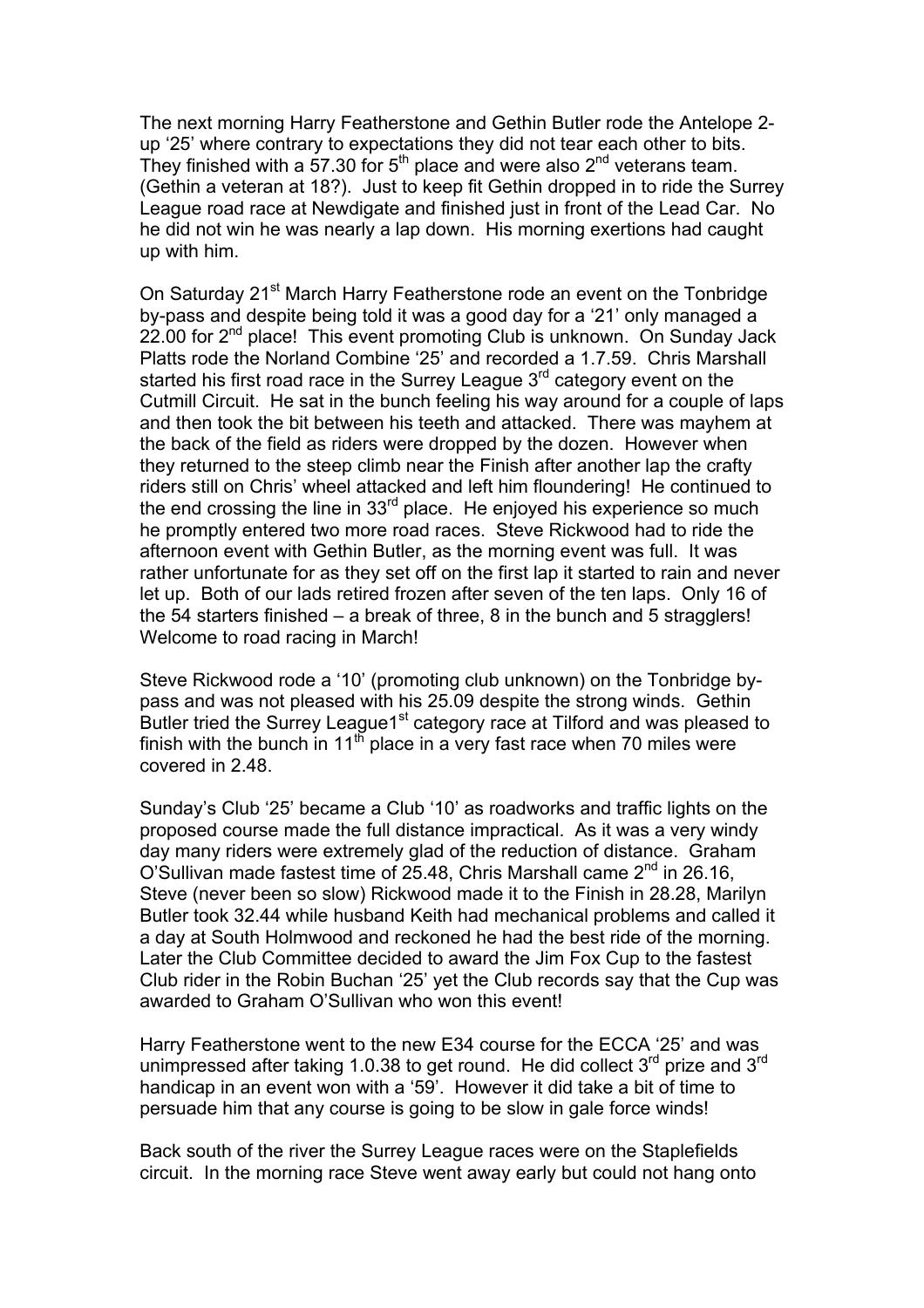The next morning Harry Featherstone and Gethin Butler rode the Antelope 2 up '25' where contrary to expectations they did not tear each other to bits. They finished with a 57.30 for  $5<sup>th</sup>$  place and were also  $2<sup>nd</sup>$  veterans team. (Gethin a veteran at 18?). Just to keep fit Gethin dropped in to ride the Surrey League road race at Newdigate and finished just in front of the Lead Car. No he did not win he was nearly a lap down. His morning exertions had caught up with him.

On Saturday 21<sup>st</sup> March Harry Featherstone rode an event on the Tonbridge by-pass and despite being told it was a good day for a '21' only managed a 22.00 for  $2<sup>nd</sup>$  place! This event promoting Club is unknown. On Sunday Jack Platts rode the Norland Combine '25' and recorded a 1.7.59. Chris Marshall started his first road race in the Surrey League  $3<sup>rd</sup>$  category event on the Cutmill Circuit. He sat in the bunch feeling his way around for a couple of laps and then took the bit between his teeth and attacked. There was mayhem at the back of the field as riders were dropped by the dozen. However when they returned to the steep climb near the Finish after another lap the crafty riders still on Chris' wheel attacked and left him floundering! He continued to the end crossing the line in  $33<sup>rd</sup>$  place. He enjoyed his experience so much he promptly entered two more road races. Steve Rickwood had to ride the afternoon event with Gethin Butler, as the morning event was full. It was rather unfortunate for as they set off on the first lap it started to rain and never let up. Both of our lads retired frozen after seven of the ten laps. Only 16 of the 54 starters finished – a break of three, 8 in the bunch and 5 stragglers! Welcome to road racing in March!

Steve Rickwood rode a '10' (promoting club unknown) on the Tonbridge bypass and was not pleased with his 25.09 despite the strong winds. Gethin Butler tried the Surrey League1<sup>st</sup> category race at Tilford and was pleased to finish with the bunch in 11<sup>th</sup> place in a very fast race when 70 miles were covered in 2.48.

Sunday's Club '25' became a Club '10' as roadworks and traffic lights on the proposed course made the full distance impractical. As it was a very windy day many riders were extremely glad of the reduction of distance. Graham O'Sullivan made fastest time of 25.48, Chris Marshall came  $2^{nd}$  in 26.16, Steve (never been so slow) Rickwood made it to the Finish in 28.28, Marilyn Butler took 32.44 while husband Keith had mechanical problems and called it a day at South Holmwood and reckoned he had the best ride of the morning. Later the Club Committee decided to award the Jim Fox Cup to the fastest Club rider in the Robin Buchan '25' yet the Club records say that the Cup was awarded to Graham O'Sullivan who won this event!

Harry Featherstone went to the new E34 course for the ECCA '25' and was unimpressed after taking 1.0.38 to get round. He did collect  $3^{rd}$  prize and  $3^{rd}$ handicap in an event won with a '59'. However it did take a bit of time to persuade him that any course is going to be slow in gale force winds!

Back south of the river the Surrey League races were on the Staplefields circuit. In the morning race Steve went away early but could not hang onto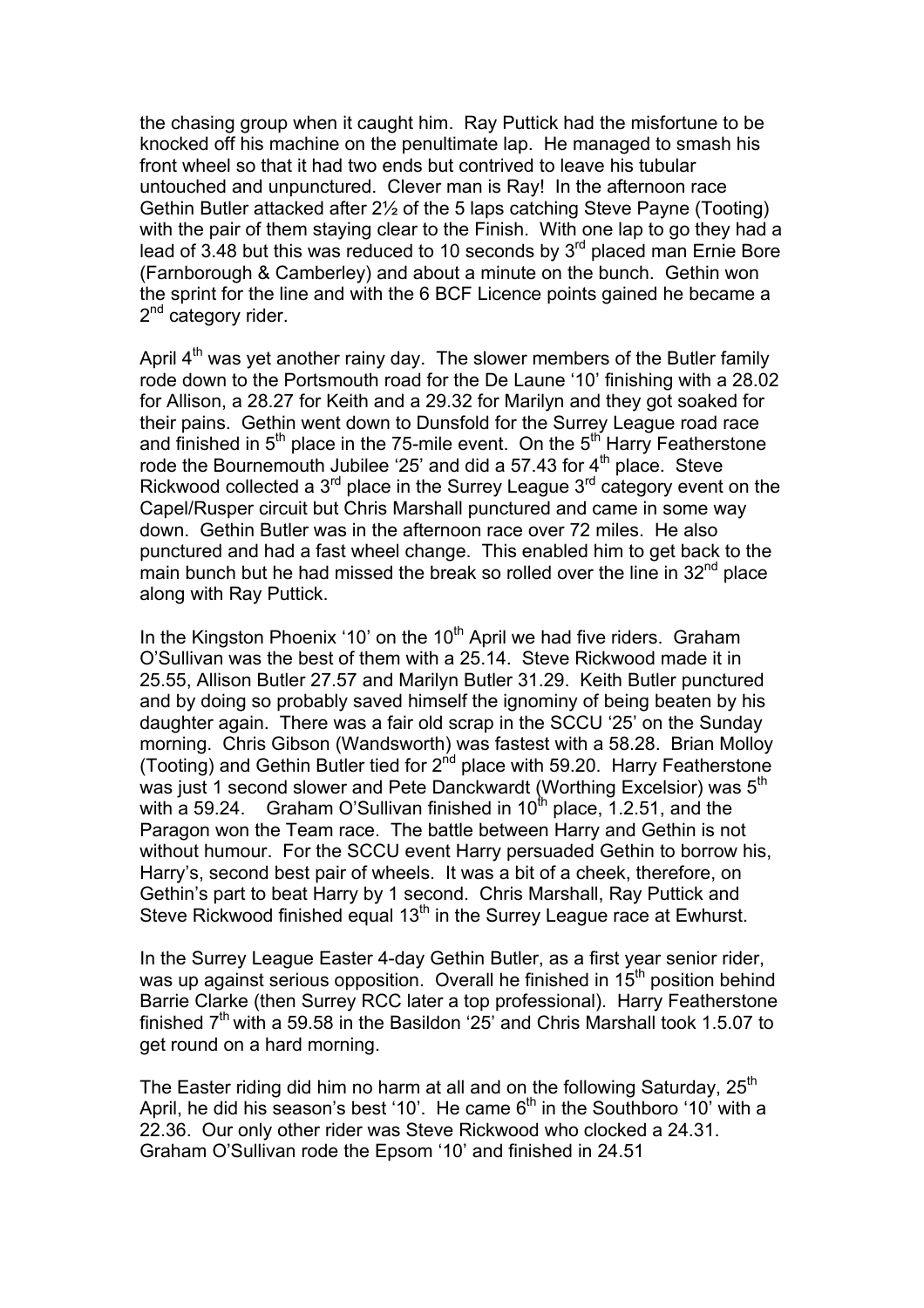the chasing group when it caught him. Ray Puttick had the misfortune to be knocked off his machine on the penultimate lap. He managed to smash his front wheel so that it had two ends but contrived to leave his tubular untouched and unpunctured. Clever man is Ray! In the afternoon race Gethin Butler attacked after 2½ of the 5 laps catching Steve Payne (Tooting) with the pair of them staying clear to the Finish. With one lap to go they had a lead of 3.48 but this was reduced to 10 seconds by 3rd placed man Ernie Bore (Farnborough & Camberley) and about a minute on the bunch. Gethin won the sprint for the line and with the 6 BCF Licence points gained he became a 2<sup>nd</sup> category rider.

April  $4<sup>th</sup>$  was yet another rainy day. The slower members of the Butler family rode down to the Portsmouth road for the De Laune '10' finishing with a 28.02 for Allison, a 28.27 for Keith and a 29.32 for Marilyn and they got soaked for their pains. Gethin went down to Dunsfold for the Surrey League road race and finished in  $5<sup>th</sup>$  place in the 75-mile event. On the  $5<sup>th</sup>$  Harry Featherstone rode the Bournemouth Jubilee '25' and did a 57.43 for  $4<sup>th</sup>$  place. Steve Rickwood collected a  $3<sup>rd</sup>$  place in the Surrey League  $3<sup>rd</sup>$  category event on the Capel/Rusper circuit but Chris Marshall punctured and came in some way down. Gethin Butler was in the afternoon race over 72 miles. He also punctured and had a fast wheel change. This enabled him to get back to the main bunch but he had missed the break so rolled over the line in  $32<sup>nd</sup>$  place along with Ray Puttick.

In the Kingston Phoenix '10' on the  $10<sup>th</sup>$  April we had five riders. Graham O'Sullivan was the best of them with a 25.14. Steve Rickwood made it in 25.55, Allison Butler 27.57 and Marilyn Butler 31.29. Keith Butler punctured and by doing so probably saved himself the ignominy of being beaten by his daughter again. There was a fair old scrap in the SCCU '25' on the Sunday morning. Chris Gibson (Wandsworth) was fastest with a 58.28. Brian Molloy (Tooting) and Gethin Butler tied for  $2<sup>nd</sup>$  place with 59.20. Harry Featherstone was just 1 second slower and Pete Danckwardt (Worthing Excelsior) was 5<sup>th</sup> with a 59.24. Graham O'Sullivan finished in  $10^{th}$  place, 1.2.51, and the Paragon won the Team race. The battle between Harry and Gethin is not without humour. For the SCCU event Harry persuaded Gethin to borrow his, Harry's, second best pair of wheels. It was a bit of a cheek, therefore, on Gethin's part to beat Harry by 1 second. Chris Marshall, Ray Puttick and Steve Rickwood finished equal 13<sup>th</sup> in the Surrey League race at Ewhurst.

In the Surrey League Easter 4-day Gethin Butler, as a first year senior rider, was up against serious opposition. Overall he finished in 15<sup>th</sup> position behind Barrie Clarke (then Surrey RCC later a top professional). Harry Featherstone finished  $7<sup>th</sup>$  with a 59.58 in the Basildon '25' and Chris Marshall took 1.5.07 to get round on a hard morning.

The Easter riding did him no harm at all and on the following Saturday,  $25<sup>th</sup>$ April, he did his season's best '10'. He came  $6<sup>th</sup>$  in the Southboro '10' with a 22.36. Our only other rider was Steve Rickwood who clocked a 24.31. Graham O'Sullivan rode the Epsom '10' and finished in 24.51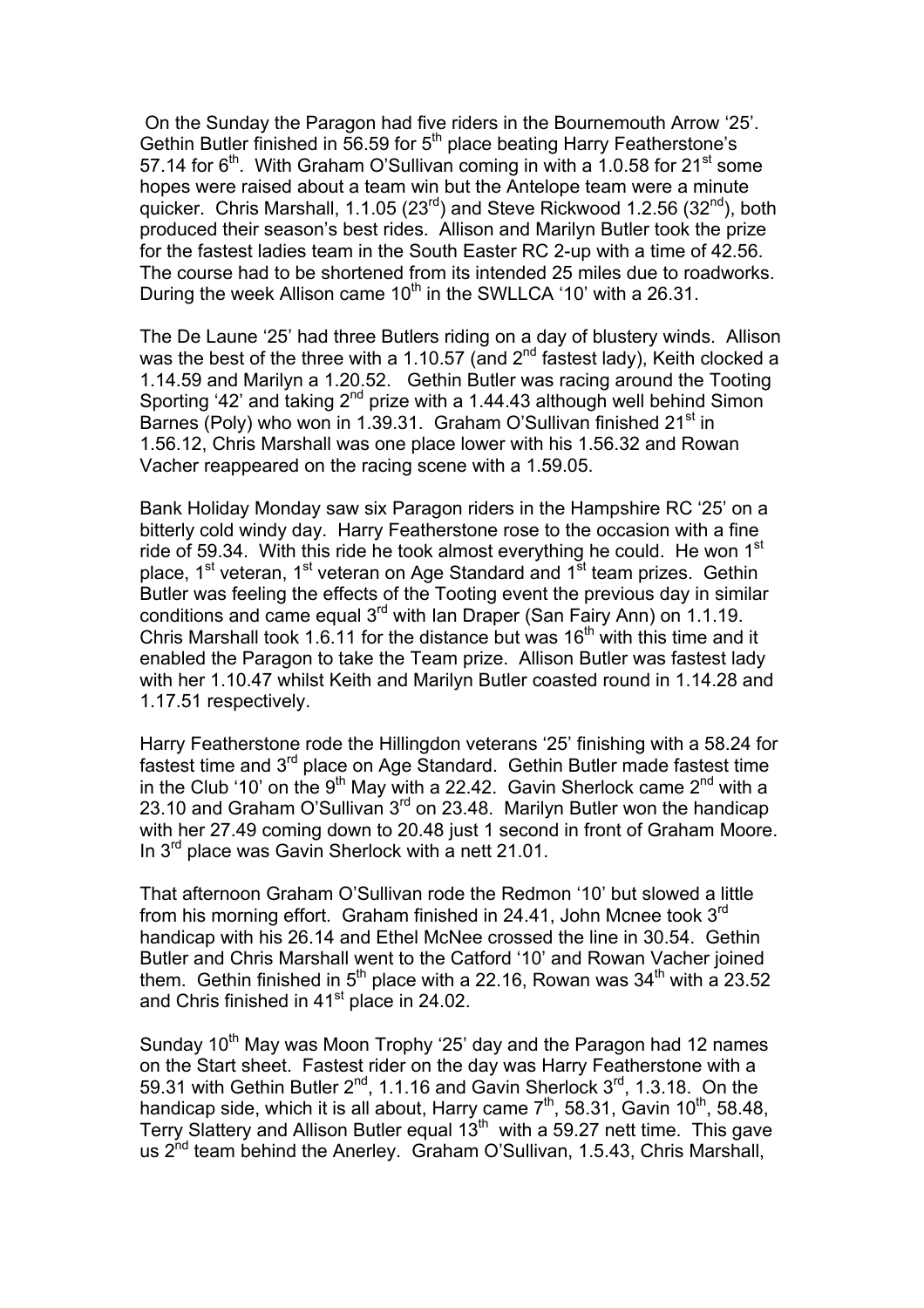On the Sunday the Paragon had five riders in the Bournemouth Arrow '25'. Gethin Butler finished in  $\overline{56.59}$  for  $5<sup>th</sup>$  place beating Harry Featherstone's 57.14 for  $6<sup>th</sup>$ . With Graham O'Sullivan coming in with a 1.0.58 for 21<sup>st</sup> some hopes were raised about a team win but the Antelope team were a minute quicker. Chris Marshall, 1.1.05 (23<sup>rd</sup>) and Steve Rickwood 1.2.56 (32<sup>nd</sup>), both produced their season's best rides. Allison and Marilyn Butler took the prize for the fastest ladies team in the South Easter RC 2-up with a time of 42.56. The course had to be shortened from its intended 25 miles due to roadworks. During the week Allison came  $10<sup>th</sup>$  in the SWLLCA '10' with a 26.31.

The De Laune '25' had three Butlers riding on a day of blustery winds. Allison was the best of the three with a 1.10.57 (and  $2<sup>nd</sup>$  fastest lady), Keith clocked a 1.14.59 and Marilyn a 1.20.52. Gethin Butler was racing around the Tooting Sporting '42' and taking  $2^{nd}$  prize with a 1.44.43 although well behind Simon Barnes (Poly) who won in 1.39.31. Graham O'Sullivan finished 21<sup>st</sup> in 1.56.12, Chris Marshall was one place lower with his 1.56.32 and Rowan Vacher reappeared on the racing scene with a 1.59.05.

Bank Holiday Monday saw six Paragon riders in the Hampshire RC '25' on a bitterly cold windy day. Harry Featherstone rose to the occasion with a fine ride of 59.34. With this ride he took almost everything he could. He won  $1<sup>st</sup>$ place, 1<sup>st</sup> veteran, 1<sup>st</sup> veteran on Age Standard and 1<sup>st</sup> team prizes. Gethin Butler was feeling the effects of the Tooting event the previous day in similar conditions and came equal 3<sup>rd</sup> with Ian Draper (San Fairy Ann) on 1.1.19. Chris Marshall took 1.6.11 for the distance but was  $16<sup>th</sup>$  with this time and it enabled the Paragon to take the Team prize. Allison Butler was fastest lady with her 1.10.47 whilst Keith and Marilyn Butler coasted round in 1.14.28 and 1.17.51 respectively.

Harry Featherstone rode the Hillingdon veterans '25' finishing with a 58.24 for fastest time and  $3<sup>rd</sup>$  place on Age Standard. Gethin Butler made fastest time in the Club '10' on the 9<sup>th</sup> May with a 22.42. Gavin Sherlock came 2<sup>nd</sup> with a 23.10 and Graham O'Sullivan 3<sup>rd</sup> on 23.48. Marilyn Butler won the handicap with her 27.49 coming down to 20.48 just 1 second in front of Graham Moore. In  $3^{rd}$  place was Gavin Sherlock with a nett 21.01.

That afternoon Graham O'Sullivan rode the Redmon '10' but slowed a little from his morning effort. Graham finished in 24.41, John Mcnee took 3<sup>rd</sup> handicap with his 26.14 and Ethel McNee crossed the line in 30.54. Gethin Butler and Chris Marshall went to the Catford '10' and Rowan Vacher joined them. Gethin finished in  $5<sup>th</sup>$  place with a 22.16, Rowan was 34<sup>th</sup> with a 23.52 and Chris finished in  $41<sup>st</sup>$  place in 24.02.

Sunday  $10<sup>th</sup>$  May was Moon Trophy '25' day and the Paragon had 12 names on the Start sheet. Fastest rider on the day was Harry Featherstone with a 59.31 with Gethin Butler  $2^{nd}$ , 1.1.16 and Gavin Sherlock  $3^{rd}$ , 1.3.18. On the handicap side, which it is all about, Harry came  $7^{\text{th}}$ , 58.31, Gavin 10<sup>th</sup>, 58.48, Terry Slattery and Allison Butler equal 13th with a 59.27 nett time. This gave us 2<sup>nd</sup> team behind the Anerley. Graham O'Sullivan, 1.5.43, Chris Marshall,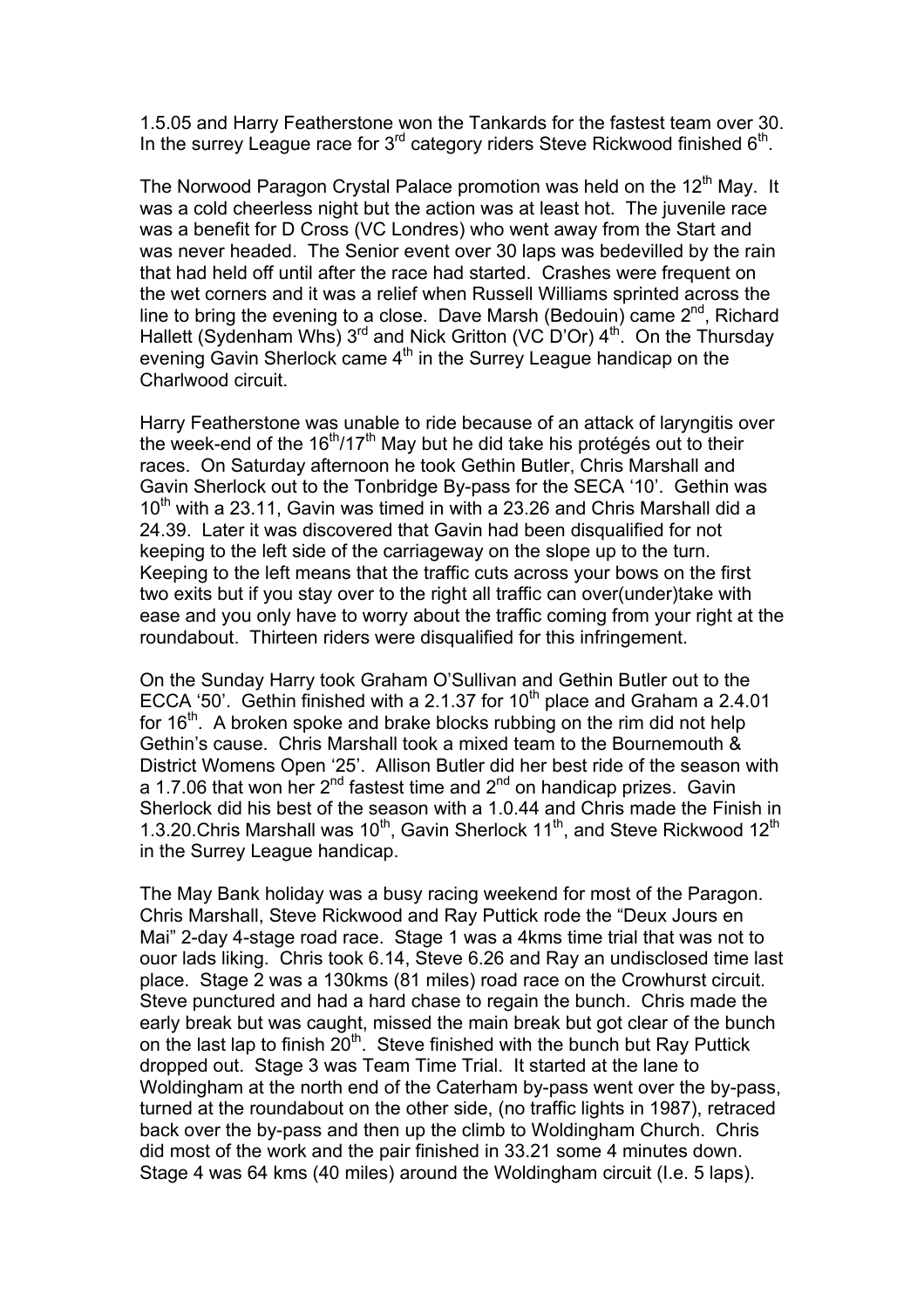1.5.05 and Harry Featherstone won the Tankards for the fastest team over 30. In the surrey League race for  $3<sup>rd</sup>$  category riders Steve Rickwood finished  $6<sup>th</sup>$ .

The Norwood Paragon Crystal Palace promotion was held on the 12<sup>th</sup> May. It was a cold cheerless night but the action was at least hot. The juvenile race was a benefit for D Cross (VC Londres) who went away from the Start and was never headed. The Senior event over 30 laps was bedevilled by the rain that had held off until after the race had started. Crashes were frequent on the wet corners and it was a relief when Russell Williams sprinted across the line to bring the evening to a close. Dave Marsh (Bedouin) came  $2^{nd}$ , Richard Hallett (Sydenham Whs)  $3^{rd}$  and Nick Gritton (VC D'Or)  $4^{th}$ . On the Thursday evening Gavin Sherlock came 4<sup>th</sup> in the Surrey League handicap on the Charlwood circuit.

Harry Featherstone was unable to ride because of an attack of laryngitis over the week-end of the  $16<sup>th</sup>/17<sup>th</sup>$  May but he did take his protégés out to their races. On Saturday afternoon he took Gethin Butler, Chris Marshall and Gavin Sherlock out to the Tonbridge By-pass for the SECA '10'. Gethin was  $10<sup>th</sup>$  with a 23.11, Gavin was timed in with a 23.26 and Chris Marshall did a 24.39. Later it was discovered that Gavin had been disqualified for not keeping to the left side of the carriageway on the slope up to the turn. Keeping to the left means that the traffic cuts across your bows on the first two exits but if you stay over to the right all traffic can over(under)take with ease and you only have to worry about the traffic coming from your right at the roundabout. Thirteen riders were disqualified for this infringement.

On the Sunday Harry took Graham O'Sullivan and Gethin Butler out to the ECCA '50'. Gethin finished with a 2.1.37 for 10<sup>th</sup> place and Graham a 2.4.01 for  $16<sup>th</sup>$ . A broken spoke and brake blocks rubbing on the rim did not help Gethin's cause. Chris Marshall took a mixed team to the Bournemouth & District Womens Open '25'. Allison Butler did her best ride of the season with a 1.7.06 that won her 2<sup>nd</sup> fastest time and 2<sup>nd</sup> on handicap prizes. Gavin Sherlock did his best of the season with a 1.0.44 and Chris made the Finish in 1.3.20. Chris Marshall was 10<sup>th</sup>, Gavin Sherlock 11<sup>th</sup>, and Steve Rickwood 12<sup>th</sup> in the Surrey League handicap.

The May Bank holiday was a busy racing weekend for most of the Paragon. Chris Marshall, Steve Rickwood and Ray Puttick rode the "Deux Jours en Mai" 2-day 4-stage road race. Stage 1 was a 4kms time trial that was not to ouor lads liking. Chris took 6.14, Steve 6.26 and Ray an undisclosed time last place. Stage 2 was a 130kms (81 miles) road race on the Crowhurst circuit. Steve punctured and had a hard chase to regain the bunch. Chris made the early break but was caught, missed the main break but got clear of the bunch on the last lap to finish  $20<sup>th</sup>$ . Steve finished with the bunch but Ray Puttick dropped out. Stage 3 was Team Time Trial. It started at the lane to Woldingham at the north end of the Caterham by-pass went over the by-pass, turned at the roundabout on the other side, (no traffic lights in 1987), retraced back over the by-pass and then up the climb to Woldingham Church. Chris did most of the work and the pair finished in 33.21 some 4 minutes down. Stage 4 was 64 kms (40 miles) around the Woldingham circuit (I.e. 5 laps).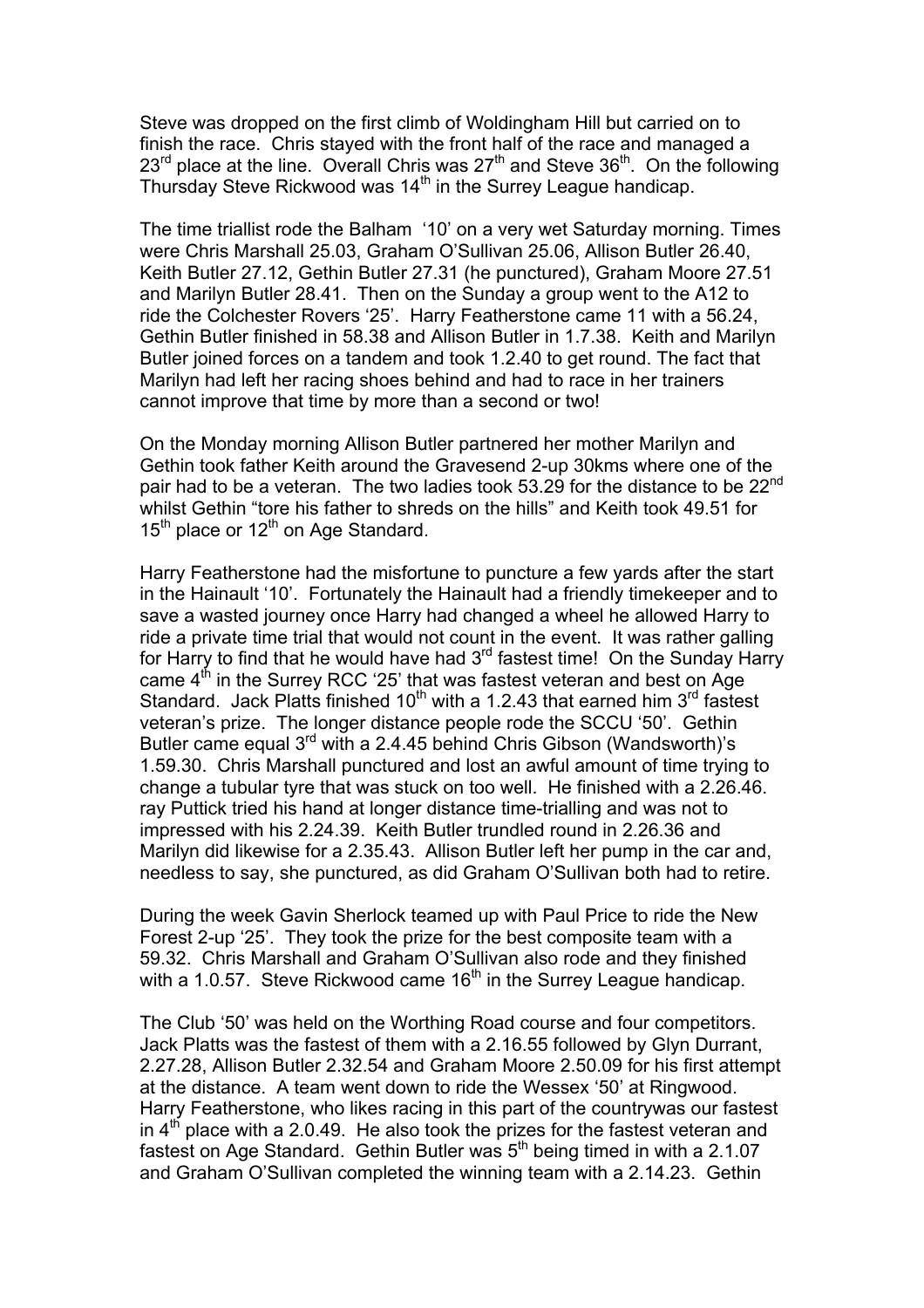Steve was dropped on the first climb of Woldingham Hill but carried on to finish the race. Chris stayed with the front half of the race and managed a  $23^{rd}$  place at the line. Overall Chris was  $27^{th}$  and Steve  $36^{th}$ . On the following Thursday Steve Rickwood was  $14<sup>th</sup>$  in the Surrey League handicap.

The time triallist rode the Balham '10' on a very wet Saturday morning. Times were Chris Marshall 25.03, Graham O'Sullivan 25.06, Allison Butler 26.40, Keith Butler 27.12, Gethin Butler 27.31 (he punctured), Graham Moore 27.51 and Marilyn Butler 28.41. Then on the Sunday a group went to the A12 to ride the Colchester Rovers '25'. Harry Featherstone came 11 with a 56.24, Gethin Butler finished in 58.38 and Allison Butler in 1.7.38. Keith and Marilyn Butler joined forces on a tandem and took 1.2.40 to get round. The fact that Marilyn had left her racing shoes behind and had to race in her trainers cannot improve that time by more than a second or two!

On the Monday morning Allison Butler partnered her mother Marilyn and Gethin took father Keith around the Gravesend 2-up 30kms where one of the pair had to be a veteran. The two ladies took 53.29 for the distance to be 22<sup>nd</sup> whilst Gethin "tore his father to shreds on the hills" and Keith took 49.51 for  $15<sup>th</sup>$  place or  $12<sup>th</sup>$  on Age Standard.

Harry Featherstone had the misfortune to puncture a few yards after the start in the Hainault '10'. Fortunately the Hainault had a friendly timekeeper and to save a wasted journey once Harry had changed a wheel he allowed Harry to ride a private time trial that would not count in the event. It was rather galling for Harry to find that he would have had  $3<sup>rd</sup>$  fastest time! On the Sunday Harry came  $4<sup>th</sup>$  in the Surrey RCC '25' that was fastest veteran and best on Age Standard. Jack Platts finished  $10^{th}$  with a 1.2.43 that earned him  $3^{rd}$  fastest veteran's prize. The longer distance people rode the SCCU '50'. Gethin Butler came equal 3<sup>rd</sup> with a 2.4.45 behind Chris Gibson (Wandsworth)'s 1.59.30. Chris Marshall punctured and lost an awful amount of time trying to change a tubular tyre that was stuck on too well. He finished with a 2.26.46. ray Puttick tried his hand at longer distance time-trialling and was not to impressed with his 2.24.39. Keith Butler trundled round in 2.26.36 and Marilyn did likewise for a 2.35.43. Allison Butler left her pump in the car and, needless to say, she punctured, as did Graham O'Sullivan both had to retire.

During the week Gavin Sherlock teamed up with Paul Price to ride the New Forest 2-up '25'. They took the prize for the best composite team with a 59.32. Chris Marshall and Graham O'Sullivan also rode and they finished with a 1.0.57. Steve Rickwood came  $16<sup>th</sup>$  in the Surrey League handicap.

The Club '50' was held on the Worthing Road course and four competitors. Jack Platts was the fastest of them with a 2.16.55 followed by Glyn Durrant, 2.27.28, Allison Butler 2.32.54 and Graham Moore 2.50.09 for his first attempt at the distance. A team went down to ride the Wessex '50' at Ringwood. Harry Featherstone, who likes racing in this part of the countrywas our fastest in 4<sup>th</sup> place with a 2.0.49. He also took the prizes for the fastest veteran and fastest on Age Standard. Gethin Butler was  $5<sup>th</sup>$  being timed in with a 2.1.07 and Graham O'Sullivan completed the winning team with a 2.14.23. Gethin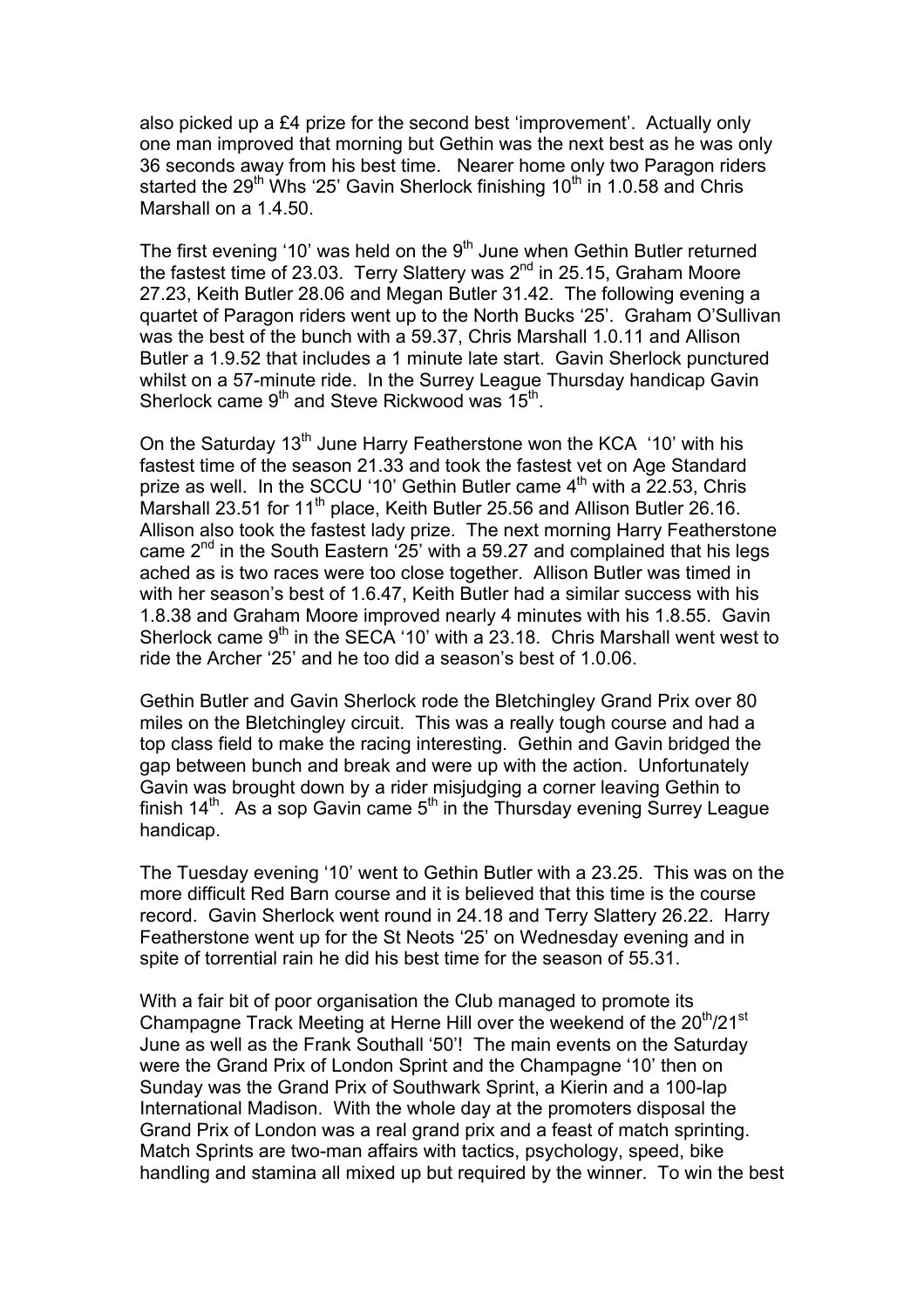also picked up a £4 prize for the second best 'improvement'. Actually only one man improved that morning but Gethin was the next best as he was only 36 seconds away from his best time. Nearer home only two Paragon riders started the 29<sup>th</sup> Whs '25' Gavin Sherlock finishing 10<sup>th</sup> in 1.0.58 and Chris Marshall on a 1.4.50.

The first evening '10' was held on the 9<sup>th</sup> June when Gethin Butler returned the fastest time of 23.03. Terry Slattery was  $2^{nd}$  in 25.15, Graham Moore 27.23, Keith Butler 28.06 and Megan Butler 31.42. The following evening a quartet of Paragon riders went up to the North Bucks '25'. Graham O'Sullivan was the best of the bunch with a 59.37, Chris Marshall 1.0.11 and Allison Butler a 1.9.52 that includes a 1 minute late start. Gavin Sherlock punctured whilst on a 57-minute ride. In the Surrey League Thursday handicap Gavin Sherlock came  $9<sup>th</sup>$  and Steve Rickwood was  $15<sup>th</sup>$ .

On the Saturday 13<sup>th</sup> June Harry Featherstone won the KCA '10' with his fastest time of the season 21.33 and took the fastest vet on Age Standard prize as well. In the SCCU '10' Gethin Butler came  $4<sup>th</sup>$  with a 22.53, Chris Marshall 23.51 for 11<sup>th</sup> place, Keith Butler 25.56 and Allison Butler 26.16. Allison also took the fastest lady prize. The next morning Harry Featherstone came  $2<sup>nd</sup>$  in the South Eastern '25' with a 59.27 and complained that his legs ached as is two races were too close together. Allison Butler was timed in with her season's best of 1.6.47, Keith Butler had a similar success with his 1.8.38 and Graham Moore improved nearly 4 minutes with his 1.8.55. Gavin Sherlock came  $9<sup>th</sup>$  in the SECA '10' with a 23.18. Chris Marshall went west to ride the Archer '25' and he too did a season's best of 1.0.06.

Gethin Butler and Gavin Sherlock rode the Bletchingley Grand Prix over 80 miles on the Bletchingley circuit. This was a really tough course and had a top class field to make the racing interesting. Gethin and Gavin bridged the gap between bunch and break and were up with the action. Unfortunately Gavin was brought down by a rider misjudging a corner leaving Gethin to finish 14<sup>th</sup>. As a sop Gavin came 5<sup>th</sup> in the Thursday evening Surrey League handicap.

The Tuesday evening '10' went to Gethin Butler with a 23.25. This was on the more difficult Red Barn course and it is believed that this time is the course record. Gavin Sherlock went round in 24.18 and Terry Slattery 26.22. Harry Featherstone went up for the St Neots '25' on Wednesday evening and in spite of torrential rain he did his best time for the season of 55.31.

With a fair bit of poor organisation the Club managed to promote its Champagne Track Meeting at Herne Hill over the weekend of the 20<sup>th</sup>/21<sup>st</sup> June as well as the Frank Southall '50'! The main events on the Saturday were the Grand Prix of London Sprint and the Champagne '10' then on Sunday was the Grand Prix of Southwark Sprint, a Kierin and a 100-lap International Madison. With the whole day at the promoters disposal the Grand Prix of London was a real grand prix and a feast of match sprinting. Match Sprints are two-man affairs with tactics, psychology, speed, bike handling and stamina all mixed up but required by the winner. To win the best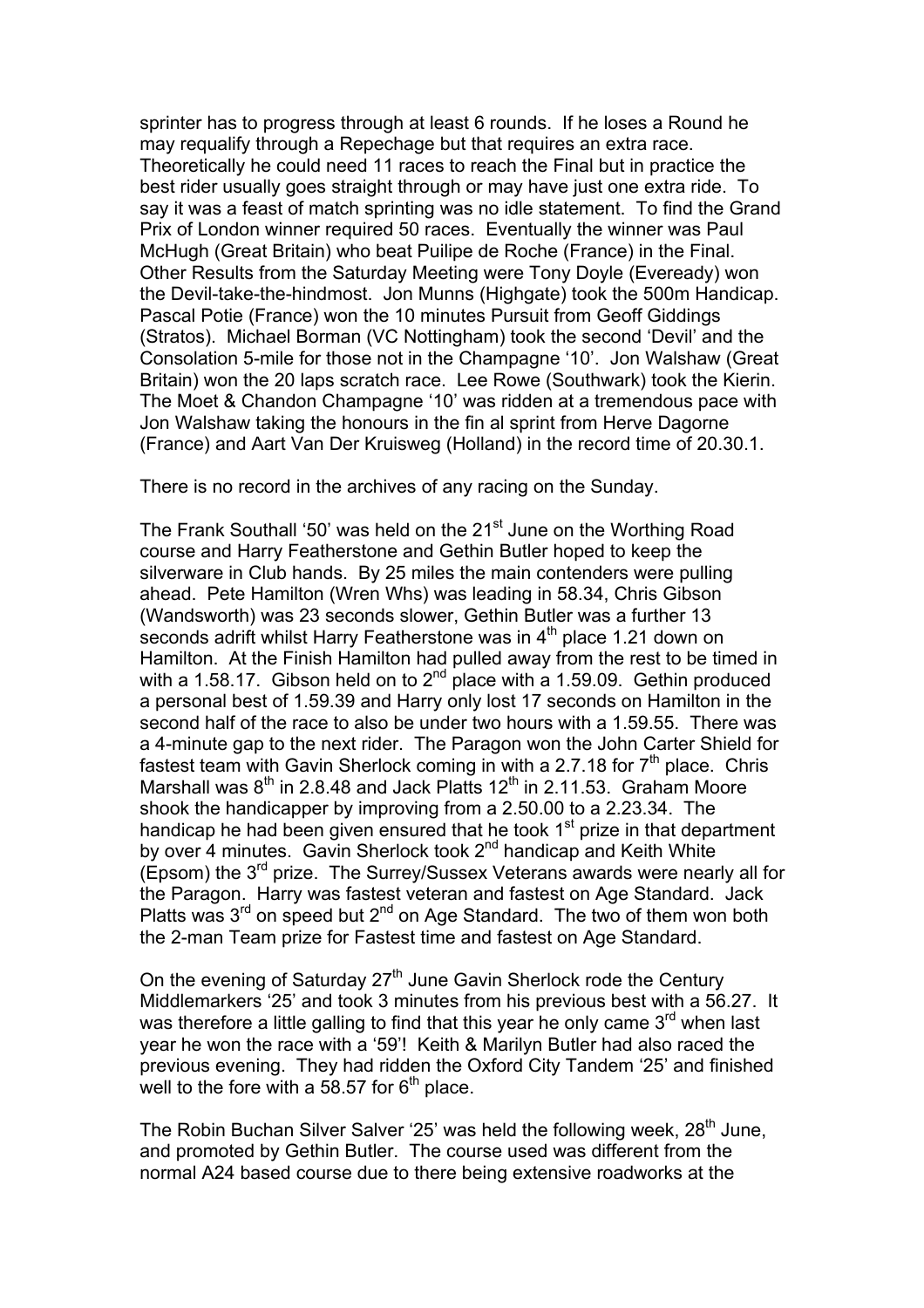sprinter has to progress through at least 6 rounds. If he loses a Round he may requalify through a Repechage but that requires an extra race. Theoretically he could need 11 races to reach the Final but in practice the best rider usually goes straight through or may have just one extra ride. To say it was a feast of match sprinting was no idle statement. To find the Grand Prix of London winner required 50 races. Eventually the winner was Paul McHugh (Great Britain) who beat Puilipe de Roche (France) in the Final. Other Results from the Saturday Meeting were Tony Doyle (Eveready) won the Devil-take-the-hindmost. Jon Munns (Highgate) took the 500m Handicap. Pascal Potie (France) won the 10 minutes Pursuit from Geoff Giddings (Stratos). Michael Borman (VC Nottingham) took the second 'Devil' and the Consolation 5-mile for those not in the Champagne '10'. Jon Walshaw (Great Britain) won the 20 laps scratch race. Lee Rowe (Southwark) took the Kierin. The Moet & Chandon Champagne '10' was ridden at a tremendous pace with Jon Walshaw taking the honours in the fin al sprint from Herve Dagorne (France) and Aart Van Der Kruisweg (Holland) in the record time of 20.30.1.

There is no record in the archives of any racing on the Sunday.

The Frank Southall '50' was held on the 21<sup>st</sup> June on the Worthing Road course and Harry Featherstone and Gethin Butler hoped to keep the silverware in Club hands. By 25 miles the main contenders were pulling ahead. Pete Hamilton (Wren Whs) was leading in 58.34, Chris Gibson (Wandsworth) was 23 seconds slower, Gethin Butler was a further 13 seconds adrift whilst Harry Featherstone was in  $4<sup>th</sup>$  place 1.21 down on Hamilton. At the Finish Hamilton had pulled away from the rest to be timed in with a 1.58.17. Gibson held on to  $2^{nd}$  place with a 1.59.09. Gethin produced a personal best of 1.59.39 and Harry only lost 17 seconds on Hamilton in the second half of the race to also be under two hours with a 1.59.55. There was a 4-minute gap to the next rider. The Paragon won the John Carter Shield for fastest team with Gavin Sherlock coming in with a 2.7.18 for  $7<sup>th</sup>$  place. Chris Marshall was  $8<sup>th</sup>$  in 2.8.48 and Jack Platts 12<sup>th</sup> in 2.11.53. Graham Moore shook the handicapper by improving from a 2.50.00 to a 2.23.34. The handicap he had been given ensured that he took  $1<sup>st</sup>$  prize in that department by over 4 minutes. Gavin Sherlock took 2<sup>nd</sup> handicap and Keith White (Epsom) the  $3^{rd}$  prize. The Surrey/Sussex Veterans awards were nearly all for the Paragon. Harry was fastest veteran and fastest on Age Standard. Jack Platts was  $3^{rd}$  on speed but  $2^{nd}$  on Age Standard. The two of them won both the 2-man Team prize for Fastest time and fastest on Age Standard.

On the evening of Saturday 27<sup>th</sup> June Gavin Sherlock rode the Century Middlemarkers '25' and took 3 minutes from his previous best with a 56.27. It was therefore a little galling to find that this year he only came  $3<sup>rd</sup>$  when last year he won the race with a '59'! Keith & Marilyn Butler had also raced the previous evening. They had ridden the Oxford City Tandem '25' and finished well to the fore with a 58.57 for  $6<sup>th</sup>$  place.

The Robin Buchan Silver Salver '25' was held the following week, 28<sup>th</sup> June, and promoted by Gethin Butler. The course used was different from the normal A24 based course due to there being extensive roadworks at the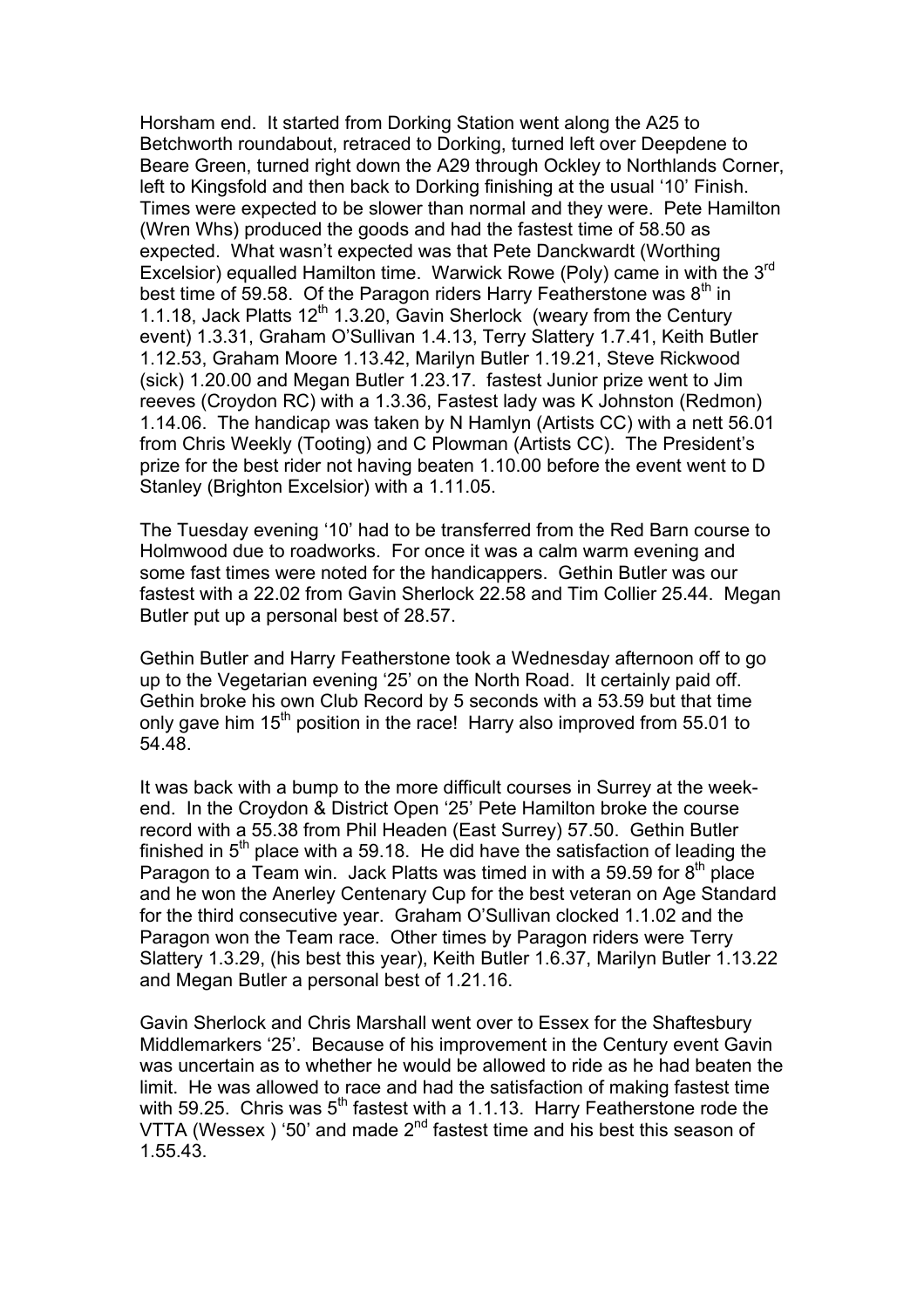Horsham end. It started from Dorking Station went along the A25 to Betchworth roundabout, retraced to Dorking, turned left over Deepdene to Beare Green, turned right down the A29 through Ockley to Northlands Corner, left to Kingsfold and then back to Dorking finishing at the usual '10' Finish. Times were expected to be slower than normal and they were. Pete Hamilton (Wren Whs) produced the goods and had the fastest time of 58.50 as expected. What wasn't expected was that Pete Danckwardt (Worthing Excelsior) equalled Hamilton time. Warwick Rowe (Poly) came in with the 3<sup>rd</sup> best time of 59.58. Of the Paragon riders Harry Featherstone was  $8<sup>th</sup>$  in 1.1.18, Jack Platts  $12^{th}$  1.3.20, Gavin Sherlock (weary from the Century event) 1.3.31, Graham O'Sullivan 1.4.13, Terry Slattery 1.7.41, Keith Butler 1.12.53, Graham Moore 1.13.42, Marilyn Butler 1.19.21, Steve Rickwood (sick) 1.20.00 and Megan Butler 1.23.17. fastest Junior prize went to Jim reeves (Croydon RC) with a 1.3.36, Fastest lady was K Johnston (Redmon) 1.14.06. The handicap was taken by N Hamlyn (Artists CC) with a nett 56.01 from Chris Weekly (Tooting) and C Plowman (Artists CC). The President's prize for the best rider not having beaten 1.10.00 before the event went to D Stanley (Brighton Excelsior) with a 1.11.05.

The Tuesday evening '10' had to be transferred from the Red Barn course to Holmwood due to roadworks. For once it was a calm warm evening and some fast times were noted for the handicappers. Gethin Butler was our fastest with a 22.02 from Gavin Sherlock 22.58 and Tim Collier 25.44. Megan Butler put up a personal best of 28.57.

Gethin Butler and Harry Featherstone took a Wednesday afternoon off to go up to the Vegetarian evening '25' on the North Road. It certainly paid off. Gethin broke his own Club Record by 5 seconds with a 53.59 but that time only gave him  $15<sup>th</sup>$  position in the race! Harry also improved from 55.01 to 54.48.

It was back with a bump to the more difficult courses in Surrey at the weekend. In the Croydon & District Open '25' Pete Hamilton broke the course record with a 55.38 from Phil Headen (East Surrey) 57.50. Gethin Butler finished in  $5<sup>th</sup>$  place with a 59.18. He did have the satisfaction of leading the Paragon to a Team win. Jack Platts was timed in with a 59.59 for  $8<sup>th</sup>$  place and he won the Anerley Centenary Cup for the best veteran on Age Standard for the third consecutive year. Graham O'Sullivan clocked 1.1.02 and the Paragon won the Team race. Other times by Paragon riders were Terry Slattery 1.3.29, (his best this year), Keith Butler 1.6.37, Marilyn Butler 1.13.22 and Megan Butler a personal best of 1.21.16.

Gavin Sherlock and Chris Marshall went over to Essex for the Shaftesbury Middlemarkers '25'. Because of his improvement in the Century event Gavin was uncertain as to whether he would be allowed to ride as he had beaten the limit. He was allowed to race and had the satisfaction of making fastest time with 59.25. Chris was  $5<sup>th</sup>$  fastest with a 1.1.13. Harry Featherstone rode the VTTA (Wessex ) '50' and made  $2<sup>nd</sup>$  fastest time and his best this season of 1.55.43.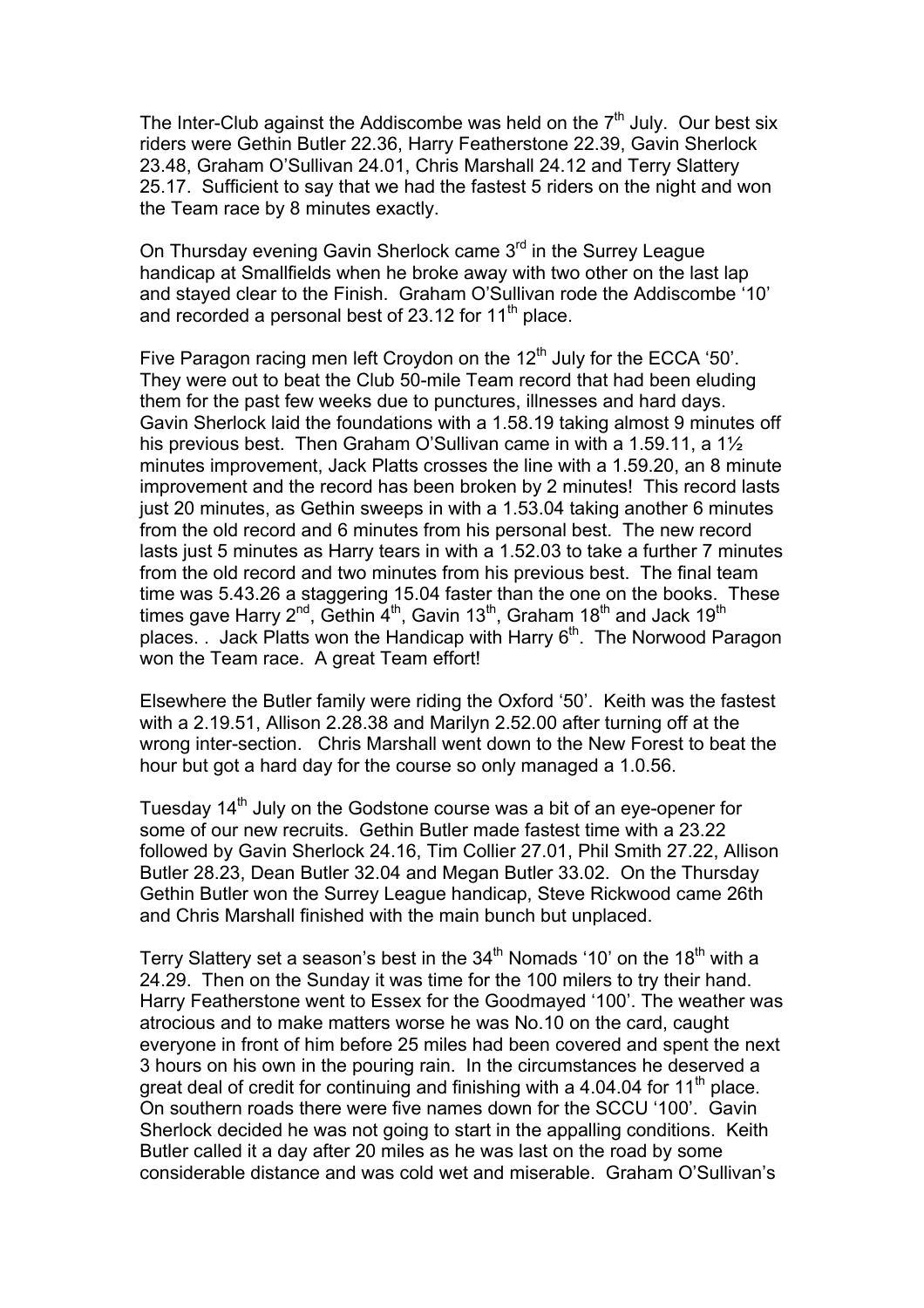The Inter-Club against the Addiscombe was held on the  $7<sup>th</sup>$  July. Our best six riders were Gethin Butler 22.36, Harry Featherstone 22.39, Gavin Sherlock 23.48, Graham O'Sullivan 24.01, Chris Marshall 24.12 and Terry Slattery 25.17. Sufficient to say that we had the fastest 5 riders on the night and won the Team race by 8 minutes exactly.

On Thursday evening Gavin Sherlock came 3<sup>rd</sup> in the Surrey League handicap at Smallfields when he broke away with two other on the last lap and stayed clear to the Finish. Graham O'Sullivan rode the Addiscombe '10' and recorded a personal best of 23.12 for 11<sup>th</sup> place.

Five Paragon racing men left Croydon on the 12<sup>th</sup> July for the ECCA '50'. They were out to beat the Club 50-mile Team record that had been eluding them for the past few weeks due to punctures, illnesses and hard days. Gavin Sherlock laid the foundations with a 1.58.19 taking almost 9 minutes off his previous best. Then Graham O'Sullivan came in with a 1.59.11, a 1½ minutes improvement, Jack Platts crosses the line with a 1.59.20, an 8 minute improvement and the record has been broken by 2 minutes! This record lasts just 20 minutes, as Gethin sweeps in with a 1.53.04 taking another 6 minutes from the old record and 6 minutes from his personal best. The new record lasts just 5 minutes as Harry tears in with a 1.52.03 to take a further 7 minutes from the old record and two minutes from his previous best. The final team time was 5.43.26 a staggering 15.04 faster than the one on the books. These times gave Harry 2<sup>nd</sup>, Gethin  $4<sup>th</sup>$ , Gavin 13<sup>th</sup>, Graham 18<sup>th</sup> and Jack 19<sup>th</sup> places. . Jack Platts won the Handicap with Harry  $6<sup>th</sup>$ . The Norwood Paragon won the Team race. A great Team effort!

Elsewhere the Butler family were riding the Oxford '50'. Keith was the fastest with a 2.19.51, Allison 2.28.38 and Marilyn 2.52.00 after turning off at the wrong inter-section. Chris Marshall went down to the New Forest to beat the hour but got a hard day for the course so only managed a 1.0.56.

Tuesday 14<sup>th</sup> July on the Godstone course was a bit of an eye-opener for some of our new recruits. Gethin Butler made fastest time with a 23.22 followed by Gavin Sherlock 24.16, Tim Collier 27.01, Phil Smith 27.22, Allison Butler 28.23, Dean Butler 32.04 and Megan Butler 33.02. On the Thursday Gethin Butler won the Surrey League handicap, Steve Rickwood came 26th and Chris Marshall finished with the main bunch but unplaced.

Terry Slattery set a season's best in the  $34<sup>th</sup>$  Nomads '10' on the 18<sup>th</sup> with a 24.29. Then on the Sunday it was time for the 100 milers to try their hand. Harry Featherstone went to Essex for the Goodmayed '100'. The weather was atrocious and to make matters worse he was No.10 on the card, caught everyone in front of him before 25 miles had been covered and spent the next 3 hours on his own in the pouring rain. In the circumstances he deserved a great deal of credit for continuing and finishing with a 4.04.04 for 11<sup>th</sup> place. On southern roads there were five names down for the SCCU '100'. Gavin Sherlock decided he was not going to start in the appalling conditions. Keith Butler called it a day after 20 miles as he was last on the road by some considerable distance and was cold wet and miserable. Graham O'Sullivan's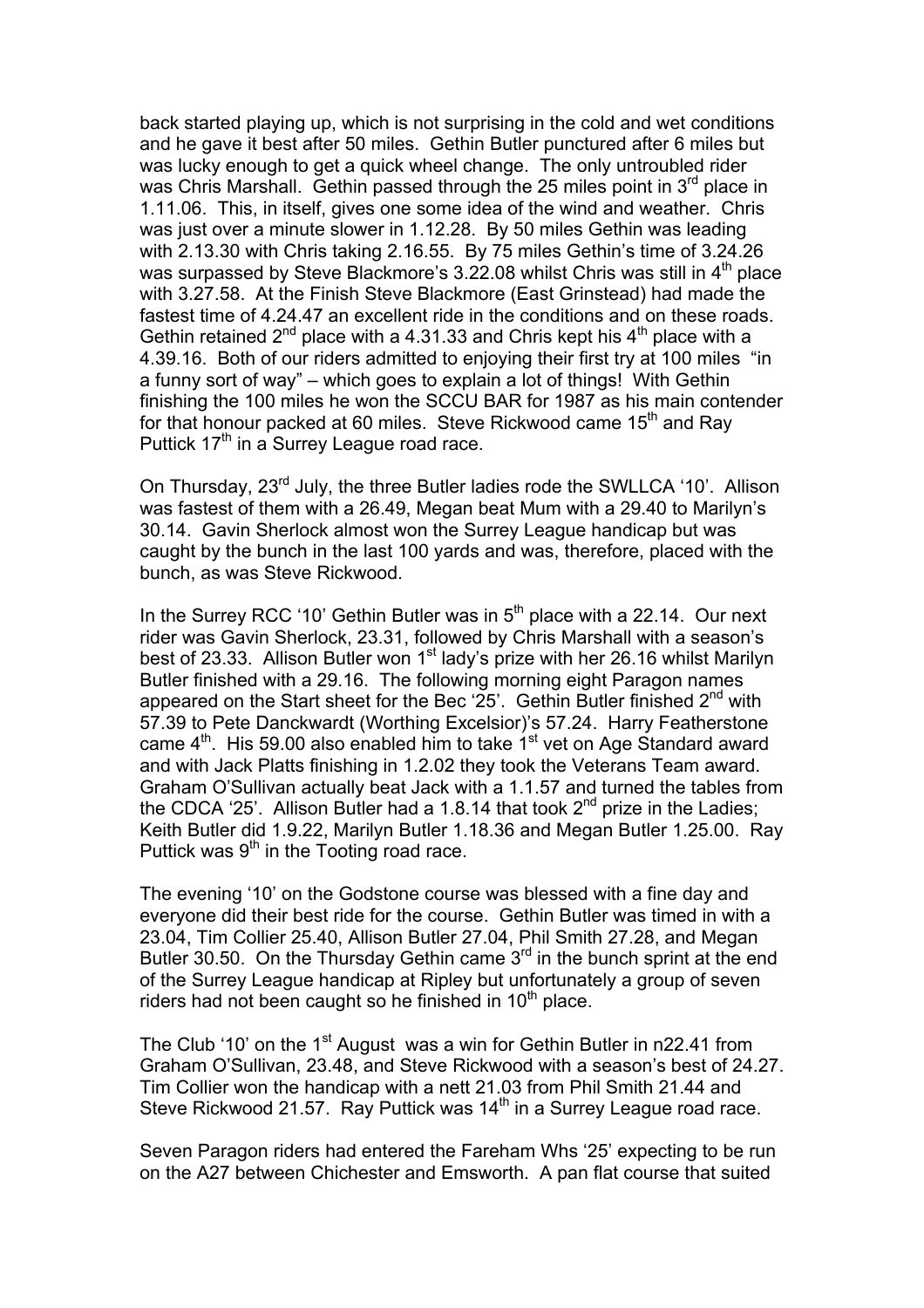back started playing up, which is not surprising in the cold and wet conditions and he gave it best after 50 miles. Gethin Butler punctured after 6 miles but was lucky enough to get a quick wheel change. The only untroubled rider was Chris Marshall. Gethin passed through the 25 miles point in  $3<sup>rd</sup>$  place in 1.11.06. This, in itself, gives one some idea of the wind and weather. Chris was just over a minute slower in 1.12.28. By 50 miles Gethin was leading with 2.13.30 with Chris taking 2.16.55. By 75 miles Gethin's time of 3.24.26 was surpassed by Steve Blackmore's 3.22.08 whilst Chris was still in 4<sup>th</sup> place with 3.27.58. At the Finish Steve Blackmore (East Grinstead) had made the fastest time of 4.24.47 an excellent ride in the conditions and on these roads. Gethin retained  $2^{nd}$  place with a 4.31.33 and Chris kept his  $4^{th}$  place with a 4.39.16. Both of our riders admitted to enjoying their first try at 100 miles "in a funny sort of way" – which goes to explain a lot of things! With Gethin finishing the 100 miles he won the SCCU BAR for 1987 as his main contender for that honour packed at 60 miles. Steve Rickwood came 15<sup>th</sup> and Ray Puttick  $17<sup>th</sup>$  in a Surrey League road race.

On Thursday, 23rd July, the three Butler ladies rode the SWLLCA '10'. Allison was fastest of them with a 26.49, Megan beat Mum with a 29.40 to Marilyn's 30.14. Gavin Sherlock almost won the Surrey League handicap but was caught by the bunch in the last 100 yards and was, therefore, placed with the bunch, as was Steve Rickwood.

In the Surrey RCC '10' Gethin Butler was in  $5<sup>th</sup>$  place with a 22.14. Our next rider was Gavin Sherlock, 23.31, followed by Chris Marshall with a season's best of 23.33. Allison Butler won  $1<sup>st</sup>$  lady's prize with her 26.16 whilst Marilyn Butler finished with a 29.16. The following morning eight Paragon names appeared on the Start sheet for the Bec '25'. Gethin Butler finished  $2^{nd}$  with 57.39 to Pete Danckwardt (Worthing Excelsior)'s 57.24. Harry Featherstone came  $4<sup>th</sup>$ . His 59.00 also enabled him to take  $1<sup>st</sup>$  vet on Age Standard award and with Jack Platts finishing in 1.2.02 they took the Veterans Team award. Graham O'Sullivan actually beat Jack with a 1.1.57 and turned the tables from the CDCA '25'. Allison Butler had a 1.8.14 that took  $2^{nd}$  prize in the Ladies; Keith Butler did 1.9.22, Marilyn Butler 1.18.36 and Megan Butler 1.25.00. Ray Puttick was  $9<sup>th</sup>$  in the Tooting road race.

The evening '10' on the Godstone course was blessed with a fine day and everyone did their best ride for the course. Gethin Butler was timed in with a 23.04, Tim Collier 25.40, Allison Butler 27.04, Phil Smith 27.28, and Megan Butler 30.50. On the Thursday Gethin came  $3<sup>rd</sup>$  in the bunch sprint at the end of the Surrey League handicap at Ripley but unfortunately a group of seven riders had not been caught so he finished in  $10<sup>th</sup>$  place.

The Club '10' on the 1<sup>st</sup> August was a win for Gethin Butler in n22.41 from Graham O'Sullivan, 23.48, and Steve Rickwood with a season's best of 24.27. Tim Collier won the handicap with a nett 21.03 from Phil Smith 21.44 and Steve Rickwood 21.57. Ray Puttick was 14<sup>th</sup> in a Surrey League road race.

Seven Paragon riders had entered the Fareham Whs '25' expecting to be run on the A27 between Chichester and Emsworth. A pan flat course that suited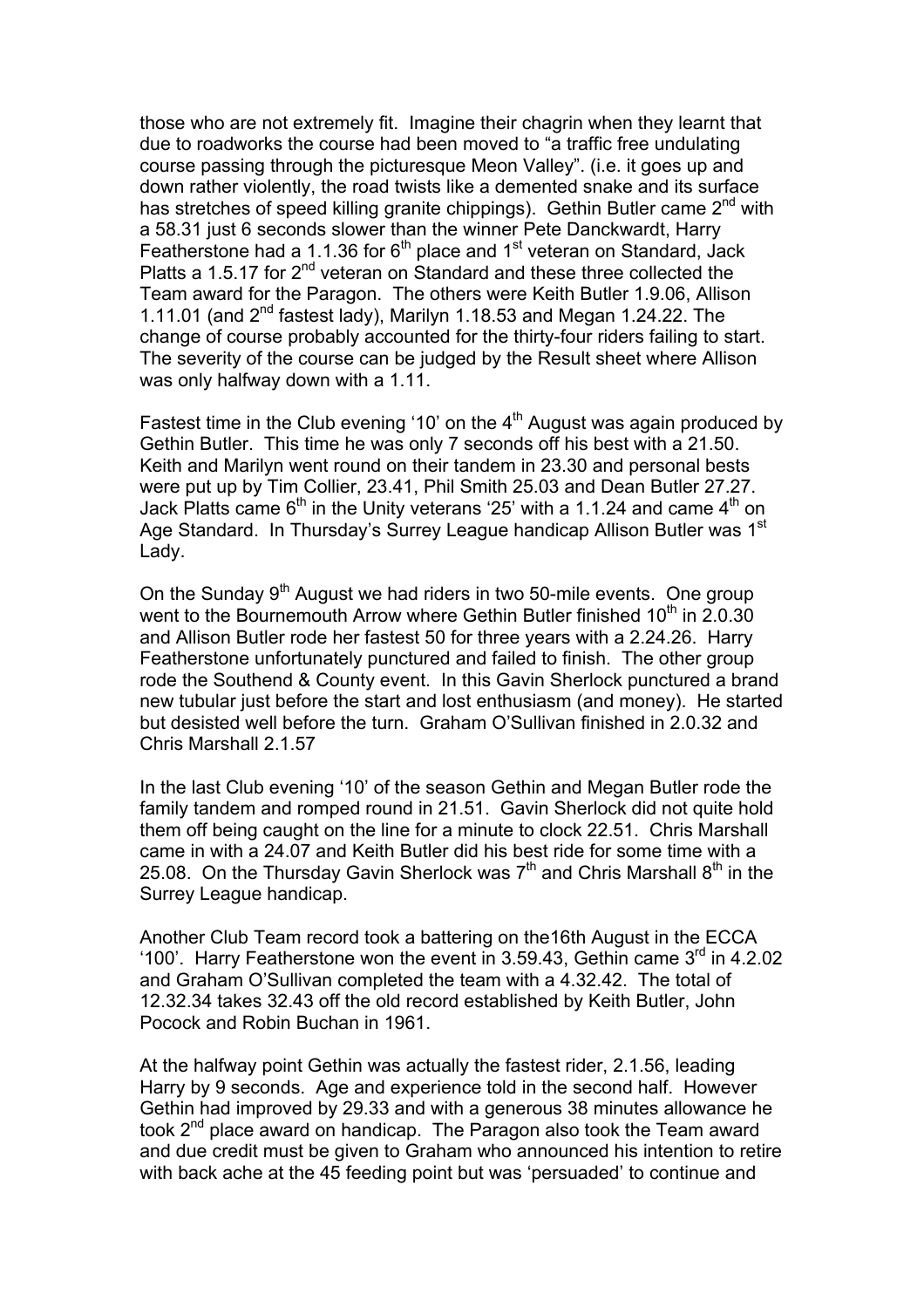those who are not extremely fit. Imagine their chagrin when they learnt that due to roadworks the course had been moved to "a traffic free undulating course passing through the picturesque Meon Valley". (i.e. it goes up and down rather violently, the road twists like a demented snake and its surface has stretches of speed killing granite chippings). Gethin Butler came  $2^{nd}$  with a 58.31 just 6 seconds slower than the winner Pete Danckwardt, Harry Featherstone had a 1.1.36 for  $6<sup>th</sup>$  place and 1<sup>st</sup> veteran on Standard, Jack Platts a 1.5.17 for 2<sup>nd</sup> veteran on Standard and these three collected the Team award for the Paragon. The others were Keith Butler 1.9.06, Allison 1.11.01 (and  $2^{nd}$  fastest lady), Marilyn 1.18.53 and Megan 1.24.22. The change of course probably accounted for the thirty-four riders failing to start. The severity of the course can be judged by the Result sheet where Allison was only halfway down with a 1.11.

Fastest time in the Club evening '10' on the  $4<sup>th</sup>$  August was again produced by Gethin Butler. This time he was only 7 seconds off his best with a 21.50. Keith and Marilyn went round on their tandem in 23.30 and personal bests were put up by Tim Collier, 23.41, Phil Smith 25.03 and Dean Butler 27.27. Jack Platts came  $6<sup>th</sup>$  in the Unity veterans '25' with a 1.1.24 and came  $4<sup>th</sup>$  on Age Standard. In Thursday's Surrey League handicap Allison Butler was 1<sup>st</sup> Lady.

On the Sunday 9<sup>th</sup> August we had riders in two 50-mile events. One group went to the Bournemouth Arrow where Gethin Butler finished 10<sup>th</sup> in 2.0.30 and Allison Butler rode her fastest 50 for three years with a 2.24.26. Harry Featherstone unfortunately punctured and failed to finish. The other group rode the Southend & County event. In this Gavin Sherlock punctured a brand new tubular just before the start and lost enthusiasm (and money). He started but desisted well before the turn. Graham O'Sullivan finished in 2.0.32 and Chris Marshall 2.1.57

In the last Club evening '10' of the season Gethin and Megan Butler rode the family tandem and romped round in 21.51. Gavin Sherlock did not quite hold them off being caught on the line for a minute to clock 22.51. Chris Marshall came in with a 24.07 and Keith Butler did his best ride for some time with a 25.08. On the Thursday Gavin Sherlock was  $7<sup>th</sup>$  and Chris Marshall  $8<sup>th</sup>$  in the Surrey League handicap.

Another Club Team record took a battering on the16th August in the ECCA '100'. Harry Featherstone won the event in 3.59.43, Gethin came  $3<sup>rd</sup>$  in 4.2.02 and Graham O'Sullivan completed the team with a 4.32.42. The total of 12.32.34 takes 32.43 off the old record established by Keith Butler, John Pocock and Robin Buchan in 1961.

At the halfway point Gethin was actually the fastest rider, 2.1.56, leading Harry by 9 seconds. Age and experience told in the second half. However Gethin had improved by 29.33 and with a generous 38 minutes allowance he took 2<sup>nd</sup> place award on handicap. The Paragon also took the Team award and due credit must be given to Graham who announced his intention to retire with back ache at the 45 feeding point but was 'persuaded' to continue and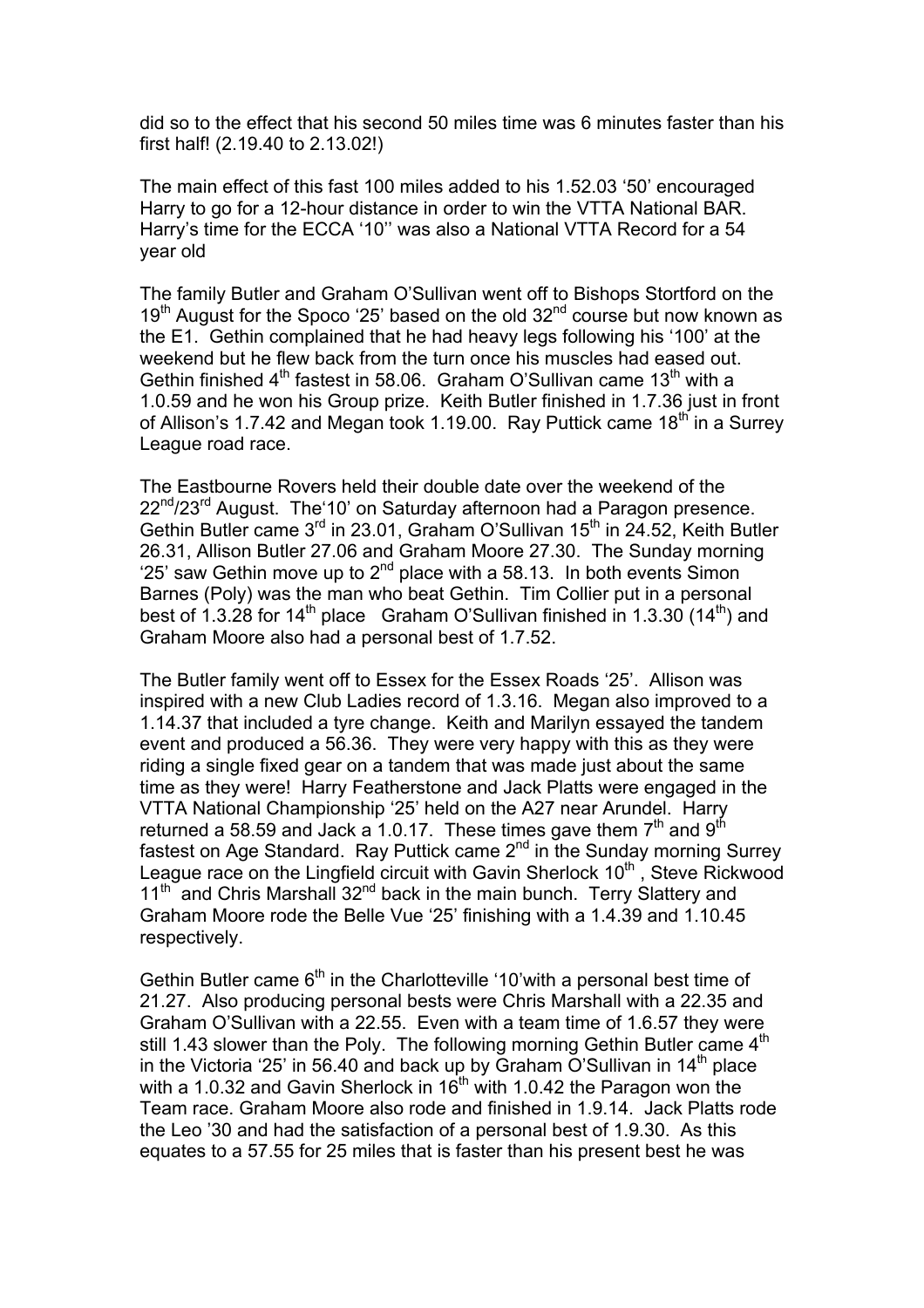did so to the effect that his second 50 miles time was 6 minutes faster than his first half! (2.19.40 to 2.13.02!)

The main effect of this fast 100 miles added to his 1.52.03 '50' encouraged Harry to go for a 12-hour distance in order to win the VTTA National BAR. Harry's time for the ECCA '10'' was also a National VTTA Record for a 54 year old

The family Butler and Graham O'Sullivan went off to Bishops Stortford on the 19<sup>th</sup> August for the Spoco '25' based on the old  $32<sup>nd</sup>$  course but now known as the E1. Gethin complained that he had heavy legs following his '100' at the weekend but he flew back from the turn once his muscles had eased out. Gethin finished  $4<sup>th</sup>$  fastest in 58.06. Graham O'Sullivan came 13<sup>th</sup> with a 1.0.59 and he won his Group prize. Keith Butler finished in 1.7.36 just in front of Allison's 1.7.42 and Megan took 1.19.00. Ray Puttick came  $18<sup>th</sup>$  in a Surrey League road race.

The Eastbourne Rovers held their double date over the weekend of the 22<sup>nd</sup>/23<sup>rd</sup> August. The 10' on Saturday afternoon had a Paragon presence. Gethin Butler came  $3<sup>rd</sup>$  in 23.01, Graham O'Sullivan 15<sup>th</sup> in 24.52, Keith Butler 26.31, Allison Butler 27.06 and Graham Moore 27.30. The Sunday morning '25' saw Gethin move up to  $2^{nd}$  place with a 58.13. In both events Simon Barnes (Poly) was the man who beat Gethin. Tim Collier put in a personal best of 1.3.28 for 14<sup>th</sup> place Graham O'Sullivan finished in 1.3.30 (14<sup>th</sup>) and Graham Moore also had a personal best of 1.7.52.

The Butler family went off to Essex for the Essex Roads '25'. Allison was inspired with a new Club Ladies record of 1.3.16. Megan also improved to a 1.14.37 that included a tyre change. Keith and Marilyn essayed the tandem event and produced a 56.36. They were very happy with this as they were riding a single fixed gear on a tandem that was made just about the same time as they were! Harry Featherstone and Jack Platts were engaged in the VTTA National Championship '25' held on the A27 near Arundel. Harry returned a 58.59 and Jack a 1.0.17. These times gave them  $7<sup>th</sup>$  and  $9<sup>th</sup>$ fastest on Age Standard. Ray Puttick came 2nd in the Sunday morning Surrey League race on the Lingfield circuit with Gavin Sherlock  $10<sup>th</sup>$ , Steve Rickwood  $11<sup>th</sup>$  and Chris Marshall  $32<sup>nd</sup>$  back in the main bunch. Terry Slattery and Graham Moore rode the Belle Vue '25' finishing with a 1.4.39 and 1.10.45 respectively.

Gethin Butler came  $6<sup>th</sup>$  in the Charlotteville '10' with a personal best time of 21.27. Also producing personal bests were Chris Marshall with a 22.35 and Graham O'Sullivan with a 22.55. Even with a team time of 1.6.57 they were still 1.43 slower than the Poly. The following morning Gethin Butler came  $4<sup>th</sup>$ in the Victoria '25' in 56.40 and back up by Graham O'Sullivan in  $14<sup>th</sup>$  place with a 1.0.32 and Gavin Sherlock in  $16<sup>th</sup>$  with 1.0.42 the Paragon won the Team race. Graham Moore also rode and finished in 1.9.14. Jack Platts rode the Leo '30 and had the satisfaction of a personal best of 1.9.30. As this equates to a 57.55 for 25 miles that is faster than his present best he was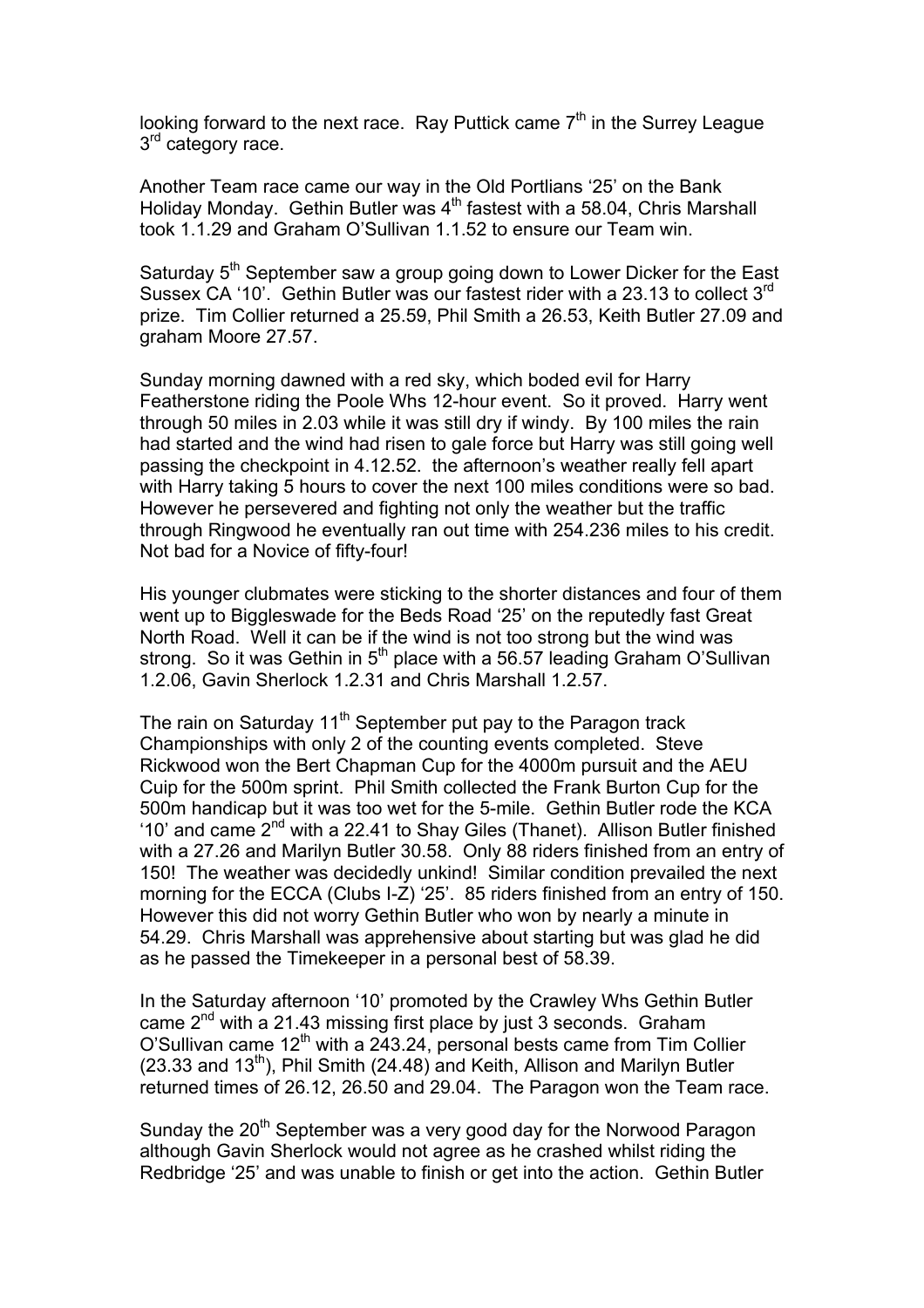looking forward to the next race. Ray Puttick came  $7<sup>th</sup>$  in the Surrey League 3<sup>rd</sup> category race.

Another Team race came our way in the Old Portlians '25' on the Bank Holiday Monday. Gethin Butler was  $4<sup>th</sup>$  fastest with a 58.04, Chris Marshall took 1.1.29 and Graham O'Sullivan 1.1.52 to ensure our Team win.

Saturday 5<sup>th</sup> September saw a group going down to Lower Dicker for the East Sussex CA '10'. Gethin Butler was our fastest rider with a 23.13 to collect 3rd prize. Tim Collier returned a 25.59, Phil Smith a 26.53, Keith Butler 27.09 and graham Moore 27.57.

Sunday morning dawned with a red sky, which boded evil for Harry Featherstone riding the Poole Whs 12-hour event. So it proved. Harry went through 50 miles in 2.03 while it was still dry if windy. By 100 miles the rain had started and the wind had risen to gale force but Harry was still going well passing the checkpoint in 4.12.52. the afternoon's weather really fell apart with Harry taking 5 hours to cover the next 100 miles conditions were so bad. However he persevered and fighting not only the weather but the traffic through Ringwood he eventually ran out time with 254.236 miles to his credit. Not bad for a Novice of fifty-four!

His younger clubmates were sticking to the shorter distances and four of them went up to Biggleswade for the Beds Road '25' on the reputedly fast Great North Road. Well it can be if the wind is not too strong but the wind was strong. So it was Gethin in  $5<sup>th</sup>$  place with a 56.57 leading Graham O'Sullivan 1.2.06, Gavin Sherlock 1.2.31 and Chris Marshall 1.2.57.

The rain on Saturday  $11<sup>th</sup>$  September put pay to the Paragon track Championships with only 2 of the counting events completed. Steve Rickwood won the Bert Chapman Cup for the 4000m pursuit and the AEU Cuip for the 500m sprint. Phil Smith collected the Frank Burton Cup for the 500m handicap but it was too wet for the 5-mile. Gethin Butler rode the KCA '10' and came  $2^{nd}$  with a 22.41 to Shay Giles (Thanet). Allison Butler finished with a 27.26 and Marilyn Butler 30.58. Only 88 riders finished from an entry of 150! The weather was decidedly unkind! Similar condition prevailed the next morning for the ECCA (Clubs I-Z) '25'. 85 riders finished from an entry of 150. However this did not worry Gethin Butler who won by nearly a minute in 54.29. Chris Marshall was apprehensive about starting but was glad he did as he passed the Timekeeper in a personal best of 58.39.

In the Saturday afternoon '10' promoted by the Crawley Whs Gethin Butler came 2<sup>nd</sup> with a 21.43 missing first place by just 3 seconds. Graham O'Sullivan came 12<sup>th</sup> with a 243.24, personal bests came from Tim Collier  $(23.33$  and  $13<sup>th</sup>)$ , Phil Smith  $(24.48)$  and Keith, Allison and Marilyn Butler returned times of 26.12, 26.50 and 29.04. The Paragon won the Team race.

Sunday the 20<sup>th</sup> September was a very good day for the Norwood Paragon although Gavin Sherlock would not agree as he crashed whilst riding the Redbridge '25' and was unable to finish or get into the action. Gethin Butler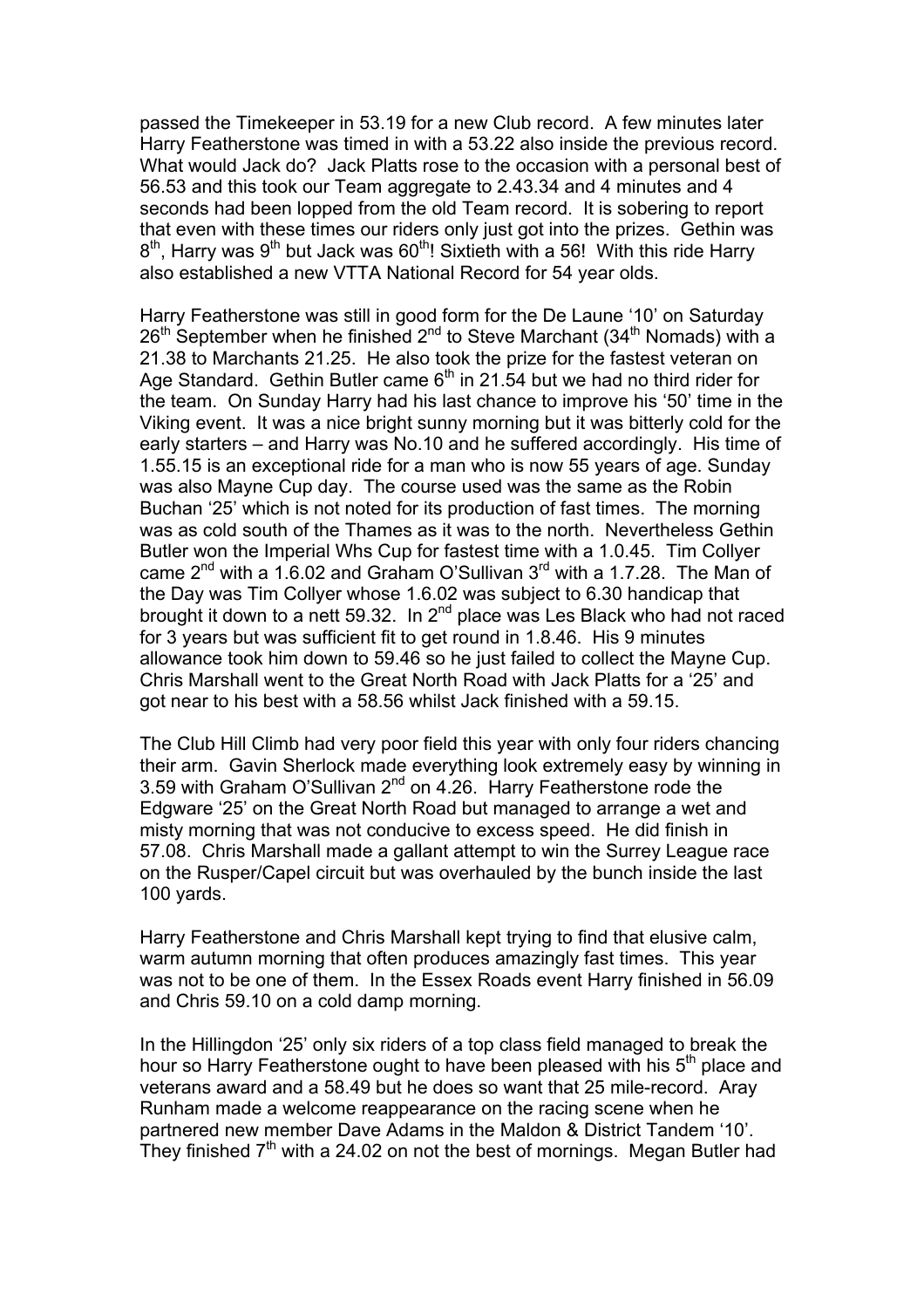passed the Timekeeper in 53.19 for a new Club record. A few minutes later Harry Featherstone was timed in with a 53.22 also inside the previous record. What would Jack do? Jack Platts rose to the occasion with a personal best of 56.53 and this took our Team aggregate to 2.43.34 and 4 minutes and 4 seconds had been lopped from the old Team record. It is sobering to report that even with these times our riders only just got into the prizes. Gethin was  $8<sup>th</sup>$ . Harry was  $9<sup>th</sup>$  but Jack was  $60<sup>th</sup>$ ! Sixtieth with a 56! With this ride Harry also established a new VTTA National Record for 54 year olds.

Harry Featherstone was still in good form for the De Laune '10' on Saturday  $26<sup>th</sup>$  September when he finished  $2<sup>nd</sup>$  to Steve Marchant (34<sup>th</sup> Nomads) with a 21.38 to Marchants 21.25. He also took the prize for the fastest veteran on Age Standard. Gethin Butler came  $6<sup>th</sup>$  in 21.54 but we had no third rider for the team. On Sunday Harry had his last chance to improve his '50' time in the Viking event. It was a nice bright sunny morning but it was bitterly cold for the early starters – and Harry was No.10 and he suffered accordingly. His time of 1.55.15 is an exceptional ride for a man who is now 55 years of age. Sunday was also Mayne Cup day. The course used was the same as the Robin Buchan '25' which is not noted for its production of fast times. The morning was as cold south of the Thames as it was to the north. Nevertheless Gethin Butler won the Imperial Whs Cup for fastest time with a 1.0.45. Tim Collyer came  $2^{nd}$  with a 1.6.02 and Graham O'Sullivan  $3^{rd}$  with a 1.7.28. The Man of the Day was Tim Collyer whose 1.6.02 was subject to 6.30 handicap that brought it down to a nett 59.32. In  $2^{nd}$  place was Les Black who had not raced for 3 years but was sufficient fit to get round in 1.8.46. His 9 minutes allowance took him down to 59.46 so he just failed to collect the Mayne Cup. Chris Marshall went to the Great North Road with Jack Platts for a '25' and got near to his best with a 58.56 whilst Jack finished with a 59.15.

The Club Hill Climb had very poor field this year with only four riders chancing their arm. Gavin Sherlock made everything look extremely easy by winning in 3.59 with Graham O'Sullivan 2<sup>nd</sup> on 4.26. Harry Featherstone rode the Edgware '25' on the Great North Road but managed to arrange a wet and misty morning that was not conducive to excess speed. He did finish in 57.08. Chris Marshall made a gallant attempt to win the Surrey League race on the Rusper/Capel circuit but was overhauled by the bunch inside the last 100 yards.

Harry Featherstone and Chris Marshall kept trying to find that elusive calm, warm autumn morning that often produces amazingly fast times. This year was not to be one of them. In the Essex Roads event Harry finished in 56.09 and Chris 59.10 on a cold damp morning.

In the Hillingdon '25' only six riders of a top class field managed to break the hour so Harry Featherstone ought to have been pleased with his  $5<sup>th</sup>$  place and veterans award and a 58.49 but he does so want that 25 mile-record. Aray Runham made a welcome reappearance on the racing scene when he partnered new member Dave Adams in the Maldon & District Tandem '10'. They finished  $7<sup>th</sup>$  with a 24.02 on not the best of mornings. Megan Butler had